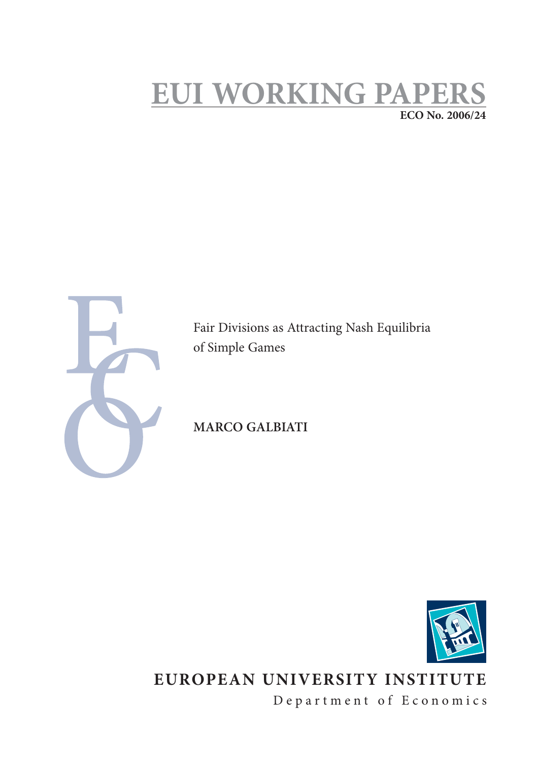## **EUI WORKING PAPERS ECO No. 2006/24**



Fair Divisions as Attracting Nash Equilibria of Simple Games

**MARCO GALBIATI**



**EUROPEAN UNIVERSITY INSTITUTE**

Department of Economics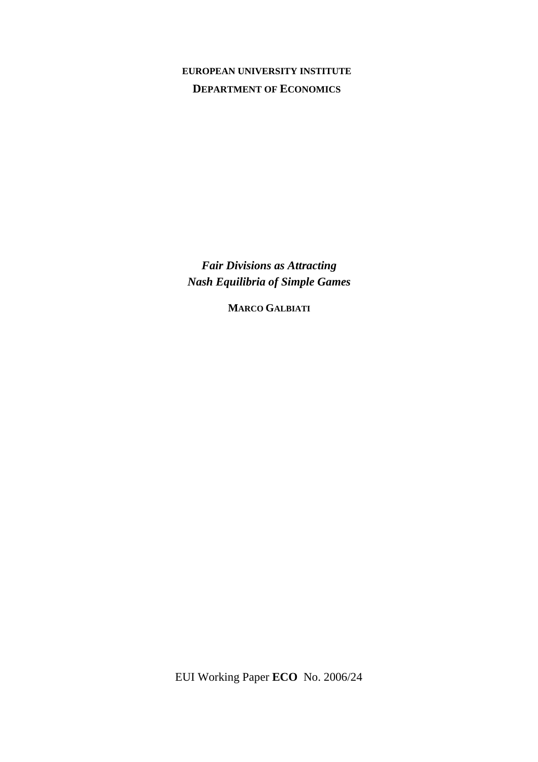**EUROPEAN UNIVERSITY INSTITUTE DEPARTMENT OF ECONOMICS**

*Fair Divisions as Attracting Nash Equilibria of Simple Games* 

**MARCO GALBIATI**

EUI Working Paper **ECO** No. 2006/24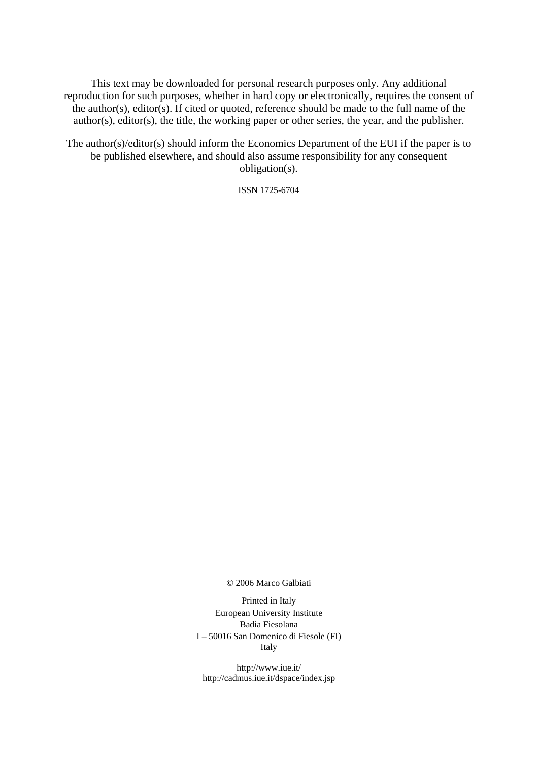This text may be downloaded for personal research purposes only. Any additional reproduction for such purposes, whether in hard copy or electronically, requires the consent of the author(s), editor(s). If cited or quoted, reference should be made to the full name of the author(s), editor(s), the title, the working paper or other series, the year, and the publisher.

The author(s)/editor(s) should inform the Economics Department of the EUI if the paper is to be published elsewhere, and should also assume responsibility for any consequent obligation(s).

ISSN 1725-6704

© 2006 Marco Galbiati

Printed in Italy European University Institute Badia Fiesolana I – 50016 San Domenico di Fiesole (FI) Italy

http://www.iue.it/ http://cadmus.iue.it/dspace/index.jsp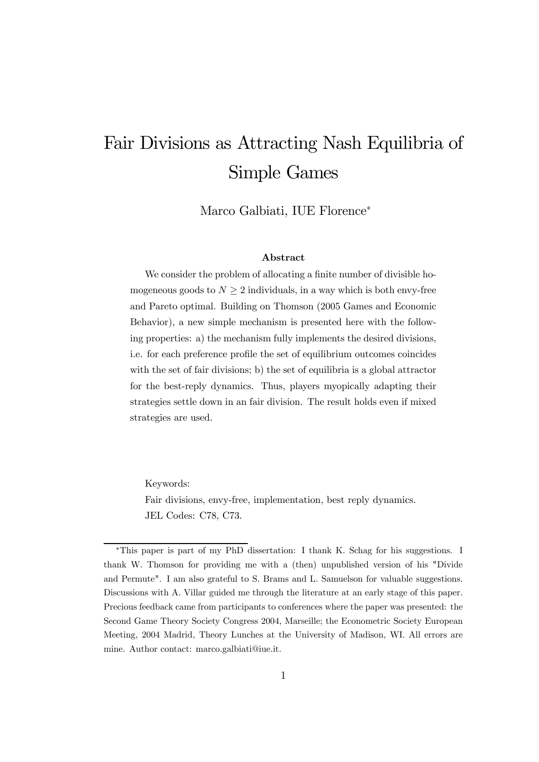# Fair Divisions as Attracting Nash Equilibria of Simple Games

Marco Galbiati, IUE Florence<sup>∗</sup>

#### Abstract

We consider the problem of allocating a finite number of divisible homogeneous goods to  $N \geq 2$  individuals, in a way which is both envy-free and Pareto optimal. Building on Thomson (2005 Games and Economic Behavior), a new simple mechanism is presented here with the following properties: a) the mechanism fully implements the desired divisions, i.e. for each preference profile the set of equilibrium outcomes coincides with the set of fair divisions; b) the set of equilibria is a global attractor for the best-reply dynamics. Thus, players myopically adapting their strategies settle down in an fair division. The result holds even if mixed strategies are used.

Keywords:

Fair divisions, envy-free, implementation, best reply dynamics. JEL Codes: C78, C73.

<sup>∗</sup>This paper is part of my PhD dissertation: I thank K. Schag for his suggestions. I thank W. Thomson for providing me with a (then) unpublished version of his "Divide and Permute". I am also grateful to S. Brams and L. Samuelson for valuable suggestions. Discussions with A. Villar guided me through the literature at an early stage of this paper. Precious feedback came from participants to conferences where the paper was presented: the Second Game Theory Society Congress 2004, Marseille; the Econometric Society European Meeting, 2004 Madrid, Theory Lunches at the University of Madison, WI. All errors are mine. Author contact: marco.galbiati@iue.it.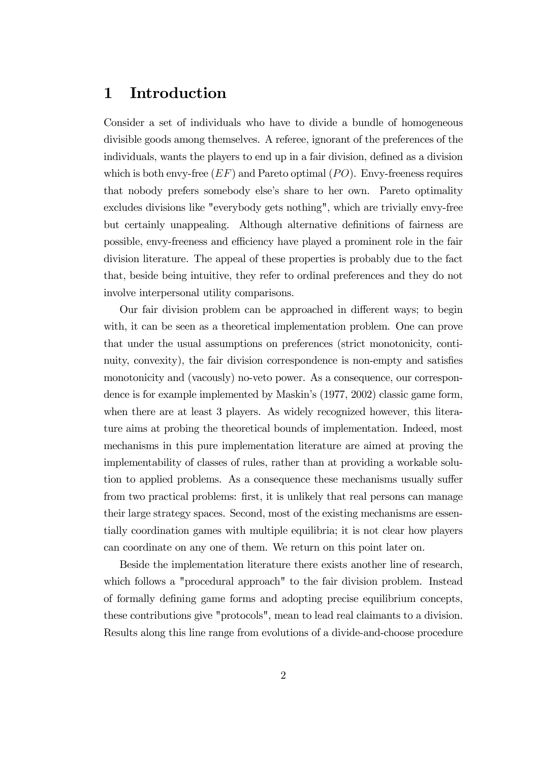## 1 Introduction

Consider a set of individuals who have to divide a bundle of homogeneous divisible goods among themselves. A referee, ignorant of the preferences of the individuals, wants the players to end up in a fair division, defined as a division which is both envy-free  $(EF)$  and Pareto optimal  $(PO)$ . Envy-freeness requires that nobody prefers somebody else's share to her own. Pareto optimality excludes divisions like "everybody gets nothing", which are trivially envy-free but certainly unappealing. Although alternative definitions of fairness are possible, envy-freeness and efficiency have played a prominent role in the fair division literature. The appeal of these properties is probably due to the fact that, beside being intuitive, they refer to ordinal preferences and they do not involve interpersonal utility comparisons.

Our fair division problem can be approached in different ways; to begin with, it can be seen as a theoretical implementation problem. One can prove that under the usual assumptions on preferences (strict monotonicity, continuity, convexity), the fair division correspondence is non-empty and satisfies monotonicity and (vacously) no-veto power. As a consequence, our correspondence is for example implemented by Maskin's (1977, 2002) classic game form, when there are at least 3 players. As widely recognized however, this literature aims at probing the theoretical bounds of implementation. Indeed, most mechanisms in this pure implementation literature are aimed at proving the implementability of classes of rules, rather than at providing a workable solution to applied problems. As a consequence these mechanisms usually suffer from two practical problems: first, it is unlikely that real persons can manage their large strategy spaces. Second, most of the existing mechanisms are essentially coordination games with multiple equilibria; it is not clear how players can coordinate on any one of them. We return on this point later on.

Beside the implementation literature there exists another line of research, which follows a "procedural approach" to the fair division problem. Instead of formally defining game forms and adopting precise equilibrium concepts, these contributions give "protocols", mean to lead real claimants to a division. Results along this line range from evolutions of a divide-and-choose procedure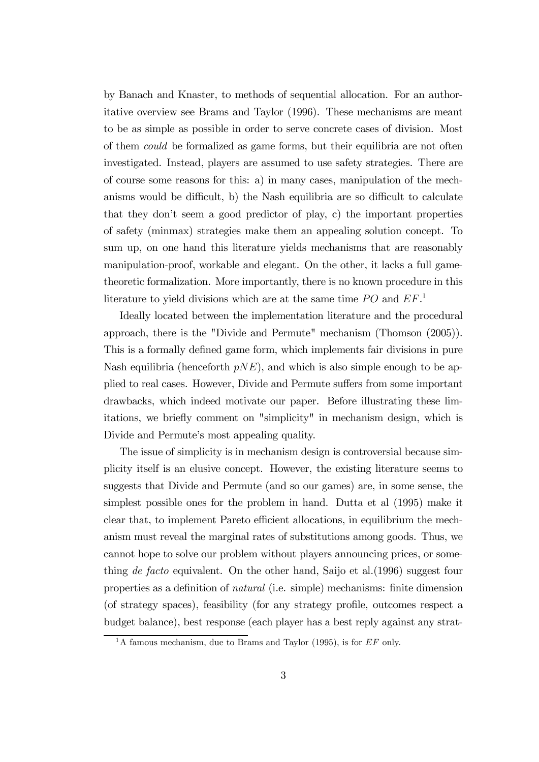by Banach and Knaster, to methods of sequential allocation. For an authoritative overview see Brams and Taylor (1996). These mechanisms are meant to be as simple as possible in order to serve concrete cases of division. Most of them could be formalized as game forms, but their equilibria are not often investigated. Instead, players are assumed to use safety strategies. There are of course some reasons for this: a) in many cases, manipulation of the mechanisms would be difficult, b) the Nash equilibria are so difficult to calculate that they don't seem a good predictor of play, c) the important properties of safety (minmax) strategies make them an appealing solution concept. To sum up, on one hand this literature yields mechanisms that are reasonably manipulation-proof, workable and elegant. On the other, it lacks a full gametheoretic formalization. More importantly, there is no known procedure in this literature to yield divisions which are at the same time  $PO$  and  $EF$ <sup>1</sup>

Ideally located between the implementation literature and the procedural approach, there is the "Divide and Permute" mechanism (Thomson (2005)). This is a formally defined game form, which implements fair divisions in pure Nash equilibria (henceforth  $pNE$ ), and which is also simple enough to be applied to real cases. However, Divide and Permute suffers from some important drawbacks, which indeed motivate our paper. Before illustrating these limitations, we briefly comment on "simplicity" in mechanism design, which is Divide and Permute's most appealing quality.

The issue of simplicity is in mechanism design is controversial because simplicity itself is an elusive concept. However, the existing literature seems to suggests that Divide and Permute (and so our games) are, in some sense, the simplest possible ones for the problem in hand. Dutta et al (1995) make it clear that, to implement Pareto efficient allocations, in equilibrium the mechanism must reveal the marginal rates of substitutions among goods. Thus, we cannot hope to solve our problem without players announcing prices, or something de facto equivalent. On the other hand, Saijo et al.  $(1996)$  suggest four properties as a definition of natural (i.e. simple) mechanisms: finite dimension (of strategy spaces), feasibility (for any strategy profile, outcomes respect a budget balance), best response (each player has a best reply against any strat-

 $1_A$  famous mechanism, due to Brams and Taylor (1995), is for EF only.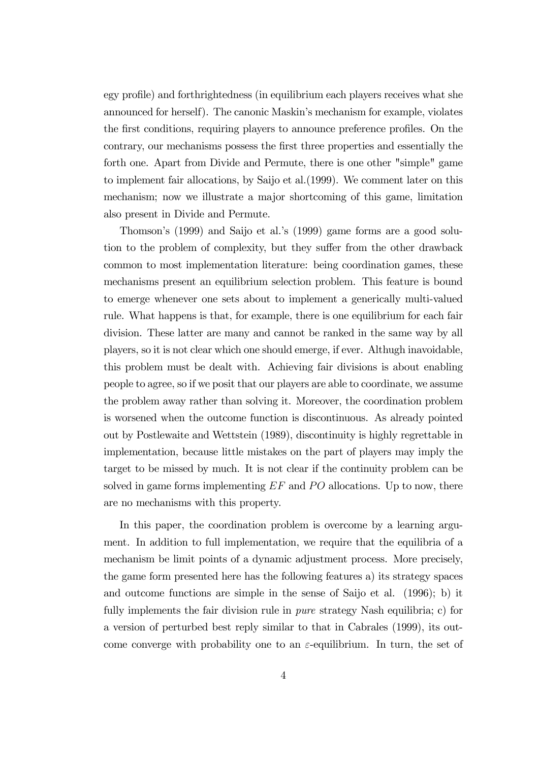egy profile) and forthrightedness (in equilibrium each players receives what she announced for herself). The canonic Maskin's mechanism for example, violates the first conditions, requiring players to announce preference profiles. On the contrary, our mechanisms possess the first three properties and essentially the forth one. Apart from Divide and Permute, there is one other "simple" game to implement fair allocations, by Saijo et al.(1999). We comment later on this mechanism; now we illustrate a major shortcoming of this game, limitation also present in Divide and Permute.

Thomson's (1999) and Saijo et al.'s (1999) game forms are a good solution to the problem of complexity, but they suffer from the other drawback common to most implementation literature: being coordination games, these mechanisms present an equilibrium selection problem. This feature is bound to emerge whenever one sets about to implement a generically multi-valued rule. What happens is that, for example, there is one equilibrium for each fair division. These latter are many and cannot be ranked in the same way by all players, so it is not clear which one should emerge, if ever. Althugh inavoidable, this problem must be dealt with. Achieving fair divisions is about enabling people to agree, so if we posit that our players are able to coordinate, we assume the problem away rather than solving it. Moreover, the coordination problem is worsened when the outcome function is discontinuous. As already pointed out by Postlewaite and Wettstein (1989), discontinuity is highly regrettable in implementation, because little mistakes on the part of players may imply the target to be missed by much. It is not clear if the continuity problem can be solved in game forms implementing  $EF$  and  $PO$  allocations. Up to now, there are no mechanisms with this property.

In this paper, the coordination problem is overcome by a learning argument. In addition to full implementation, we require that the equilibria of a mechanism be limit points of a dynamic adjustment process. More precisely, the game form presented here has the following features a) its strategy spaces and outcome functions are simple in the sense of Saijo et al. (1996); b) it fully implements the fair division rule in *pure* strategy Nash equilibria; c) for a version of perturbed best reply similar to that in Cabrales (1999), its outcome converge with probability one to an  $\varepsilon$ -equilibrium. In turn, the set of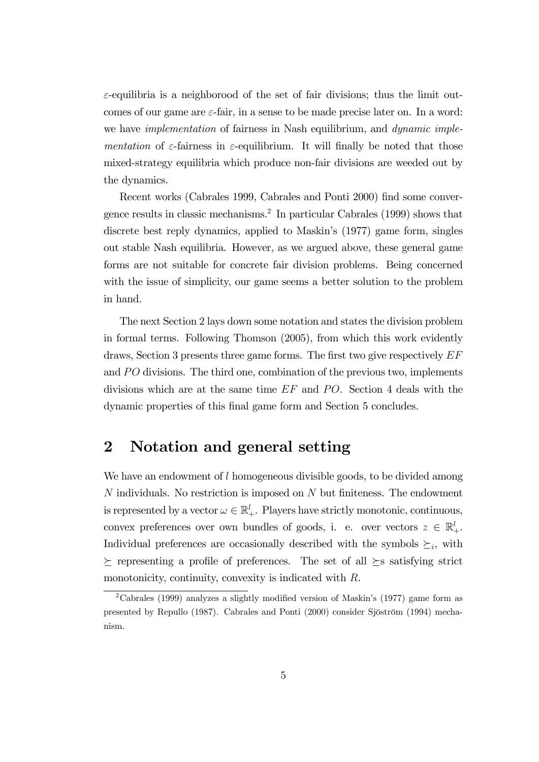$\varepsilon$ -equilibria is a neighborood of the set of fair divisions; thus the limit outcomes of our game are  $\varepsilon$ -fair, in a sense to be made precise later on. In a word: we have *implementation* of fairness in Nash equilibrium, and *dynamic imple*mentation of  $\varepsilon$ -fairness in  $\varepsilon$ -equilibrium. It will finally be noted that those mixed-strategy equilibria which produce non-fair divisions are weeded out by the dynamics.

Recent works (Cabrales 1999, Cabrales and Ponti 2000) find some convergence results in classic mechanisms.2 In particular Cabrales (1999) shows that discrete best reply dynamics, applied to Maskin's (1977) game form, singles out stable Nash equilibria. However, as we argued above, these general game forms are not suitable for concrete fair division problems. Being concerned with the issue of simplicity, our game seems a better solution to the problem in hand.

The next Section 2 lays down some notation and states the division problem in formal terms. Following Thomson (2005), from which this work evidently draws, Section 3 presents three game forms. The first two give respectively  $EF$ and  $PO$  divisions. The third one, combination of the previous two, implements divisions which are at the same time  $EF$  and  $PO$ . Section 4 deals with the dynamic properties of this final game form and Section 5 concludes.

### 2 Notation and general setting

We have an endowment of l homogeneous divisible goods, to be divided among  $N$  individuals. No restriction is imposed on  $N$  but finiteness. The endowment is represented by a vector  $\omega \in \mathbb{R}^l_+$ . Players have strictly monotonic, continuous, convex preferences over own bundles of goods, i. e. over vectors  $z \in \mathbb{R}^l_+$ . Individual preferences are occasionally described with the symbols  $\succeq_i$ , with  $\succeq$  representing a profile of preferences. The set of all  $\succeq$ s satisfying strict monotonicity, continuity, convexity is indicated with R.

 $2$ Cabrales (1999) analyzes a slightly modified version of Maskin's (1977) game form as presented by Repullo (1987). Cabrales and Ponti (2000) consider Sjöström (1994) mechanism.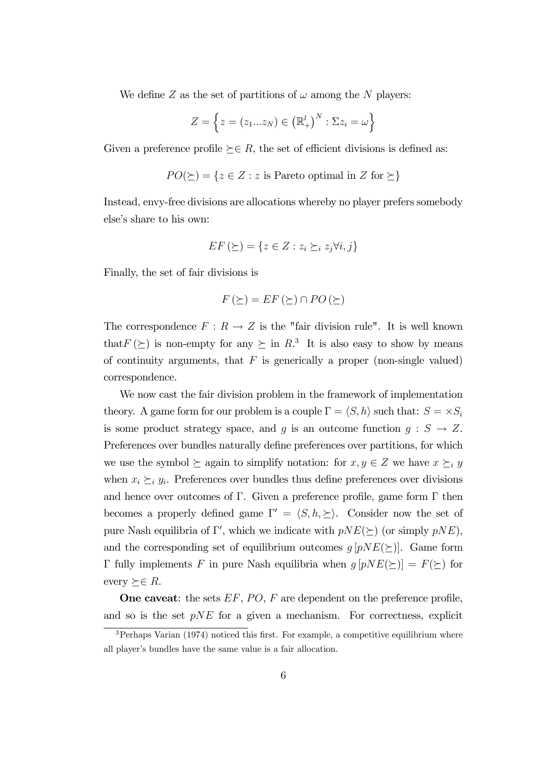We define Z as the set of partitions of  $\omega$  among the N players:

$$
Z = \left\{ z = (z_1...z_N) \in (\mathbb{R}^l_+)^N : \Sigma z_i = \omega \right\}
$$

Given a preference profile  $\succeq \in R$ , the set of efficient divisions is defined as:

$$
PO(\succeq) = \{ z \in Z : z \text{ is Pareto optimal in } Z \text{ for } \succeq \}
$$

Instead, envy-free divisions are allocations whereby no player prefers somebody else's share to his own:

$$
EF\left(\succeq\right) = \{z \in Z : z_i \succeq_i z_j \forall i, j\}
$$

Finally, the set of fair divisions is

$$
F(\succeq) = EF(\succeq) \cap PO(\succeq)
$$

The correspondence  $F: R \to Z$  is the "fair division rule". It is well known that  $F(\succeq)$  is non-empty for any  $\succeq$  in  $R<sup>3</sup>$ . It is also easy to show by means of continuity arguments, that  $F$  is generically a proper (non-single valued) correspondence.

We now cast the fair division problem in the framework of implementation theory. A game form for our problem is a couple  $\Gamma = \langle S, h \rangle$  such that:  $S = \times S_i$ is some product strategy space, and g is an outcome function  $g: S \to Z$ . Preferences over bundles naturally define preferences over partitions, for which we use the symbol  $\succeq$  again to simplify notation: for  $x, y \in Z$  we have  $x \succeq_i y$ when  $x_i \succeq_i y_i$ . Preferences over bundles thus define preferences over divisions and hence over outcomes of Γ. Given a preference profile, game form  $\Gamma$  then becomes a properly defined game  $\Gamma' = \langle S, h, \succeq \rangle$ . Consider now the set of pure Nash equilibria of  $\Gamma'$ , which we indicate with  $pNE(\succeq)$  (or simply  $pNE$ ), and the corresponding set of equilibrium outcomes  $g[pNE(\succeq)]$ . Game form Γ fully implements F in pure Nash equilibria when  $g[pNE(\succeq)] = F(\succeq)$  for every  $\succeq \in R$ .

**One caveat:** the sets  $EF$ ,  $PO$ ,  $F$  are dependent on the preference profile, and so is the set  $pNE$  for a given a mechanism. For correctness, explicit

 $3$ Perhaps Varian (1974) noticed this first. For example, a competitive equilibrium where all player's bundles have the same value is a fair allocation.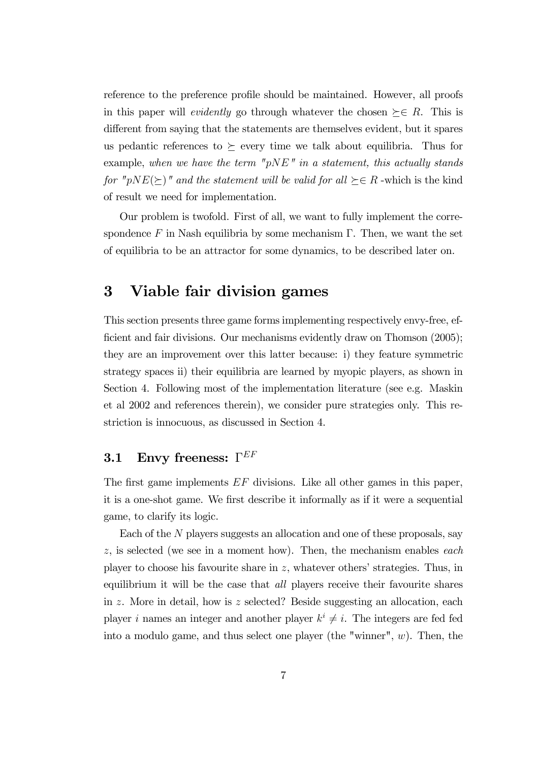reference to the preference profile should be maintained. However, all proofs in this paper will *evidently* go through whatever the chosen  $\succeq \in R$ . This is different from saying that the statements are themselves evident, but it spares us pedantic references to  $\succeq$  every time we talk about equilibria. Thus for example, when we have the term " $pNE"$  in a statement, this actually stands for "pNE( $\succeq$ )" and the statement will be valid for all  $\succeq \in R$  -which is the kind of result we need for implementation.

Our problem is twofold. First of all, we want to fully implement the correspondence F in Nash equilibria by some mechanism  $\Gamma$ . Then, we want the set of equilibria to be an attractor for some dynamics, to be described later on.

### 3 Viable fair division games

This section presents three game forms implementing respectively envy-free, efficient and fair divisions. Our mechanisms evidently draw on Thomson (2005); they are an improvement over this latter because: i) they feature symmetric strategy spaces ii) their equilibria are learned by myopic players, as shown in Section 4. Following most of the implementation literature (see e.g. Maskin et al 2002 and references therein), we consider pure strategies only. This restriction is innocuous, as discussed in Section 4.

## 3.1 Envy freeness:  $\Gamma^{EF}$

The first game implements  $EF$  divisions. Like all other games in this paper, it is a one-shot game. We first describe it informally as if it were a sequential game, to clarify its logic.

Each of the N players suggests an allocation and one of these proposals, say  $z$ , is selected (we see in a moment how). Then, the mechanism enables each player to choose his favourite share in  $z$ , whatever others' strategies. Thus, in equilibrium it will be the case that all players receive their favourite shares in z. More in detail, how is z selected? Beside suggesting an allocation, each player i names an integer and another player  $k^i \neq i$ . The integers are fed fed into a modulo game, and thus select one player (the "winner",  $w$ ). Then, the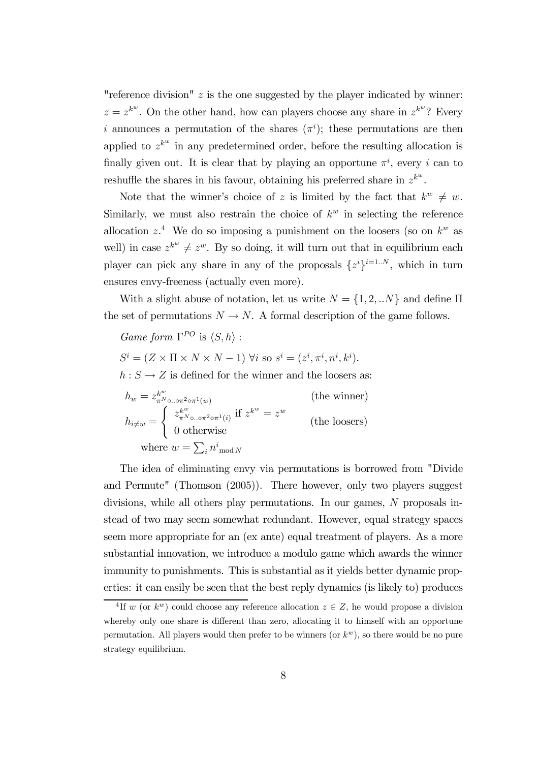"reference division"  $z$  is the one suggested by the player indicated by winner:  $z = z^{k^w}$ . On the other hand, how can players choose any share in  $z^{k^w}$ ? Every i announces a permutation of the shares  $(\pi^i)$ ; these permutations are then applied to  $z^{k^w}$  in any predetermined order, before the resulting allocation is finally given out. It is clear that by playing an opportune  $\pi^i$ , every i can to reshuffle the shares in his favour, obtaining his preferred share in  $z^{k^w}$ .

Note that the winner's choice of z is limited by the fact that  $k^w \neq w$ . Similarly, we must also restrain the choice of  $k^w$  in selecting the reference allocation  $z^4$ . We do so imposing a punishment on the loosers (so on  $k^w$  as well) in case  $z^{k^w} \neq z^w$ . By so doing, it will turn out that in equilibrium each player can pick any share in any of the proposals  $\{z^{i}\}^{i=1..N}$ , which in turn ensures envy-freeness (actually even more).

With a slight abuse of notation, let us write  $N = \{1, 2, ...N\}$  and define  $\Pi$ the set of permutations  $N \to N$ . A formal description of the game follows.

Game form  $\Gamma^{PO}$  is  $\langle S, h \rangle$  :

 $S^i = (Z \times \Pi \times N \times N - 1)$   $\forall i$  so  $s^i = (z^i, \pi^i, n^i, k^i)$ .

 $h: S \to Z$  is defined for the winner and the loosers as:

$$
h_w = z_{\pi^N \circ \ldots \circ \pi^2 \circ \pi^1(w)}^{k^w} \qquad \text{(the winner)}
$$
\n
$$
h_{i \neq w} = \begin{cases} z_{\pi^N \circ \ldots \circ \pi^2 \circ \pi^1(i)}^{k^w} \text{ if } z^{k^w} = z^w\\ 0 \text{ otherwise} \\ \text{where } w = \sum_i n^i \text{ mod } N \end{cases} \qquad \text{(the looses)}
$$

The idea of eliminating envy via permutations is borrowed from "Divide and Permute" (Thomson (2005)). There however, only two players suggest divisions, while all others play permutations. In our games, N proposals instead of two may seem somewhat redundant. However, equal strategy spaces seem more appropriate for an (ex ante) equal treatment of players. As a more substantial innovation, we introduce a modulo game which awards the winner immunity to punishments. This is substantial as it yields better dynamic properties: it can easily be seen that the best reply dynamics (is likely to) produces

<sup>&</sup>lt;sup>4</sup>If w (or  $k^w$ ) could choose any reference allocation  $z \in Z$ , he would propose a division whereby only one share is different than zero, allocating it to himself with an opportune permutation. All players would then prefer to be winners (or  $k^w$ ), so there would be no pure strategy equilibrium.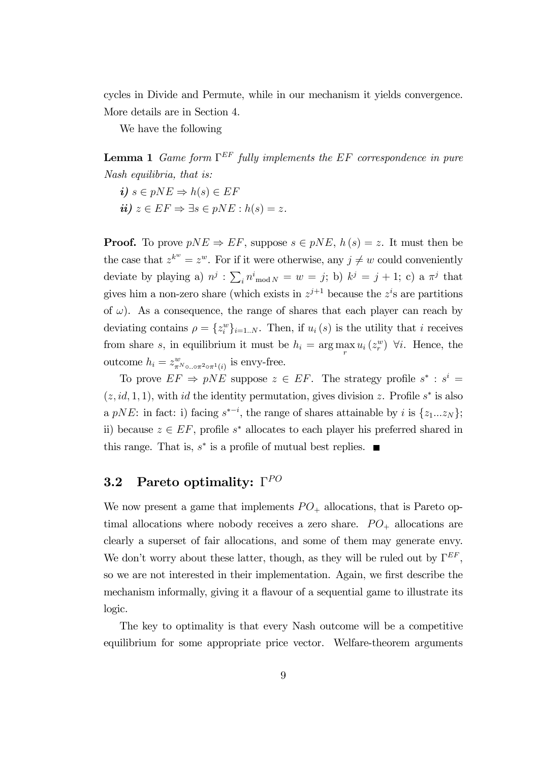cycles in Divide and Permute, while in our mechanism it yields convergence. More details are in Section 4.

We have the following

**Lemma 1** Game form  $\Gamma^{EF}$  fully implements the EF correspondence in pure Nash equilibria, that is:

- i)  $s \in pNE \Rightarrow h(s) \in EF$
- ii)  $z \in EF \Rightarrow \exists s \in pNE : h(s) = z$ .

**Proof.** To prove  $pNE \Rightarrow EF$ , suppose  $s \in pNE$ ,  $h(s) = z$ . It must then be the case that  $z^{k^w} = z^w$ . For if it were otherwise, any  $j \neq w$  could conveniently deviate by playing a)  $n^j$  :  $\sum_i n^i$ <sub>mod  $N = w = j$ ; b)  $k^j = j + 1$ ; c) a  $\pi^j$  that</sub> gives him a non-zero share (which exists in  $z^{j+1}$  because the  $z^{i}$ s are partitions of  $\omega$ ). As a consequence, the range of shares that each player can reach by deviating contains  $\rho = \{z_i^w\}_{i=1..N}$ . Then, if  $u_i(s)$  is the utility that i receives from share s, in equilibrium it must be  $h_i = \arg \max_r u_i(z_r^w)$   $\forall i$ . Hence, the outcome  $h_i = z^w_{\pi^N \circ \dots \circ \pi^2 \circ \pi^1(i)}$  is envy-free.

To prove  $EF \Rightarrow pNE$  suppose  $z \in EF$ . The strategy profile  $s^* : s^i =$  $(z, id, 1, 1)$ , with id the identity permutation, gives division z. Profile s<sup>\*</sup> is also a pNE: in fact: i) facing  $s^{*-i}$ , the range of shares attainable by i is  $\{z_1...z_N\}$ ; ii) because  $z \in EF$ , profile s<sup>\*</sup> allocates to each player his preferred shared in this range. That is,  $s^*$  is a profile of mutual best replies.  $\blacksquare$ 

#### 3.2 Pareto optimality:  $\Gamma^{PO}$

We now present a game that implements  $PO_+$  allocations, that is Pareto optimal allocations where nobody receives a zero share.  $PO_+$  allocations are clearly a superset of fair allocations, and some of them may generate envy. We don't worry about these latter, though, as they will be ruled out by  $\Gamma^{EF}$ . so we are not interested in their implementation. Again, we first describe the mechanism informally, giving it a flavour of a sequential game to illustrate its logic.

The key to optimality is that every Nash outcome will be a competitive equilibrium for some appropriate price vector. Welfare-theorem arguments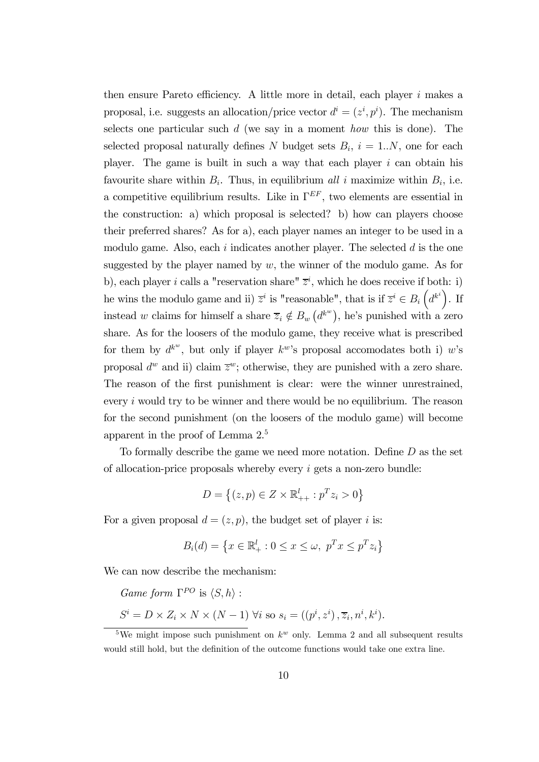then ensure Pareto efficiency. A little more in detail, each player  $i$  makes a proposal, i.e. suggests an allocation/price vector  $d^i = (z^i, p^i)$ . The mechanism selects one particular such  $d$  (we say in a moment how this is done). The selected proposal naturally defines N budget sets  $B_i$ ,  $i = 1..N$ , one for each player. The game is built in such a way that each player  $i$  can obtain his favourite share within  $B_i$ . Thus, in equilibrium all i maximize within  $B_i$ , i.e. a competitive equilibrium results. Like in  $\Gamma^{EF}$ , two elements are essential in the construction: a) which proposal is selected? b) how can players choose their preferred shares? As for a), each player names an integer to be used in a modulo game. Also, each i indicates another player. The selected  $d$  is the one suggested by the player named by  $w$ , the winner of the modulo game. As for b), each player i calls a "reservation share"  $\overline{z}^i$ , which he does receive if both: i) he wins the modulo game and ii)  $\overline{z}^i$  is "reasonable", that is if  $\overline{z}^i \in B_i(d^{k^i})$ . If instead w claims for himself a share  $\overline{z}_i \notin B_w(d^{k^w})$ , he's punished with a zero share. As for the loosers of the modulo game, they receive what is prescribed for them by  $d^{k^w}$ , but only if player  $k^w$ 's proposal accomodates both i) w's proposal  $d^w$  and ii) claim  $\overline{z}^w$ ; otherwise, they are punished with a zero share. The reason of the first punishment is clear: were the winner unrestrained, every  $i$  would try to be winner and there would be no equilibrium. The reason for the second punishment (on the loosers of the modulo game) will become apparent in the proof of Lemma 2.5

To formally describe the game we need more notation. Define D as the set of allocation-price proposals whereby every  $i$  gets a non-zero bundle:

$$
D = \left\{ (z, p) \in Z \times \mathbb{R}_{++}^l : p^T z_i > 0 \right\}
$$

For a given proposal  $d = (z, p)$ , the budget set of player i is:

$$
B_i(d) = \left\{ x \in \mathbb{R}_+^l : 0 \le x \le \omega, \ p^T x \le p^T z_i \right\}
$$

We can now describe the mechanism:

Game form  $\Gamma^{PO}$  is  $\langle S, h \rangle$  :  $S^i = D \times Z_i \times N \times (N-1)$   $\forall i$  so  $s_i = ((p^i, z^i), \overline{z}_i, n^i, k^i)$ .

<sup>&</sup>lt;sup>5</sup>We might impose such punishment on  $k^w$  only. Lemma 2 and all subsequent results would still hold, but the definition of the outcome functions would take one extra line.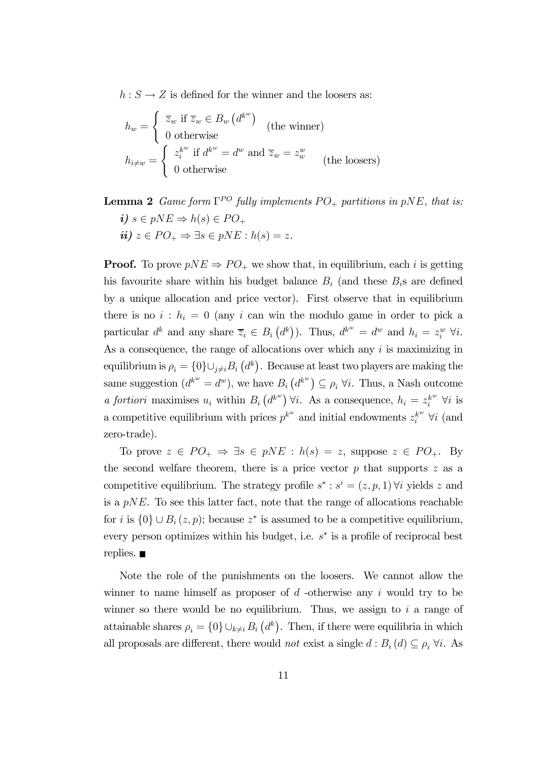$h: S \to Z$  is defined for the winner and the loosers as:

$$
h_w = \begin{cases} \overline{z}_w \text{ if } \overline{z}_w \in B_w \left( d^{k^w} \right) \\ 0 \text{ otherwise} \\ h_{i \neq w} = \begin{cases} z_i^{k^w} \text{ if } d^{k^w} = d^w \text{ and } \overline{z}_w = z_w^w \\ 0 \text{ otherwise} \end{cases} \text{ (the looses)}
$$

**Lemma 2** Game form  $\Gamma^{PO}$  fully implements  $PO_+$  partitions in pNE, that is: i)  $s \in pNE \Rightarrow h(s) \in PO_+$  $ii)$   $z \in PO_+ \Rightarrow \exists s \in pNE : h(s) = z.$ 

**Proof.** To prove  $pNE \Rightarrow PO_+$  we show that, in equilibrium, each i is getting his favourite share within his budget balance  $B_i$  (and these  $B_i$ s are defined by a unique allocation and price vector). First observe that in equilibrium there is no  $i : h_i = 0$  (any i can win the modulo game in order to pick a particular  $d^k$  and any share  $\overline{z}_i \in B_i(d^k)$ ). Thus,  $d^{k^w} = d^w$  and  $h_i = z_i^w \forall i$ . As a consequence, the range of allocations over which any i is maximizing in equilibrium is  $\rho_i = \{0\} \cup_{j \neq i} B_i \left( d^k \right)$ . Because at least two players are making the same suggestion  $(d^{k^w} = d^w)$ , we have  $B_i(d^{k^w}) \subseteq \rho_i \ \forall i$ . Thus, a Nash outcome a fortiori maximises  $u_i$  within  $B_i(d^{k^w}) \forall i$ . As a consequence,  $h_i = z_i^{k^w} \forall i$  is a competitive equilibrium with prices  $p^{k^w}$  and initial endowments  $z_i^{k^w}$   $\forall i$  (and zero-trade).

To prove  $z \in PO_+ \Rightarrow \exists s \in pNE : h(s) = z$ , suppose  $z \in PO_+$ . By the second welfare theorem, there is a price vector  $p$  that supports  $z$  as a competitive equilibrium. The strategy profile  $s^* : s^i = (z, p, 1)$   $\forall i$  yields z and is a  $pNE$ . To see this latter fact, note that the range of allocations reachable for i is  $\{0\} \cup B_i(z, p)$ ; because  $z^*$  is assumed to be a competitive equilibrium, every person optimizes within his budget, i.e.  $s^*$  is a profile of reciprocal best replies.  $\blacksquare$ 

Note the role of the punishments on the loosers. We cannot allow the winner to name himself as proposer of  $d$  -otherwise any i would try to be winner so there would be no equilibrium. Thus, we assign to  $i$  a range of attainable shares  $\rho_i = \{0\} \cup_{k \neq i} B_i(d^k)$ . Then, if there were equilibria in which all proposals are different, there would *not* exist a single  $d : B_i(d) \subseteq \rho_i \; \forall i$ . As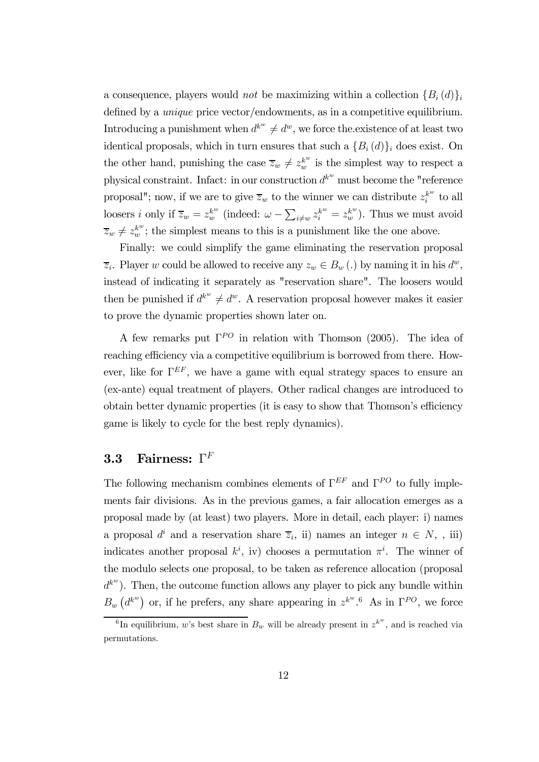a consequence, players would *not* be maximizing within a collection  ${B_i (d)}_i$ defined by a unique price vector/endowments, as in a competitive equilibrium. Introducing a punishment when  $d^{k^w} \neq d^w$ , we force the existence of at least two identical proposals, which in turn ensures that such a  ${B_i(d)}_i$  does exist. On the other hand, punishing the case  $\overline{z}_w \neq z_w^{k^w}$  is the simplest way to respect a physical constraint. Infact: in our construction  $d^{k^w}$  must become the "reference proposal"; now, if we are to give  $\overline{z}_w$  to the winner we can distribute  $z_i^{k^w}$  to all loosers *i* only if  $\overline{z}_w = z_w^{k^w}$  (indeed:  $\omega - \sum_{i \neq w} z_i^{k^w} = z_w^{k^w}$ ). Thus we must avoid  $\overline{z}_w \neq z_w^{k^w}$ ; the simplest means to this is a punishment like the one above.

Finally: we could simplify the game eliminating the reservation proposal  $\overline{z}_i$ . Player w could be allowed to receive any  $z_w \in B_w$  (.) by naming it in his  $d^w$ , instead of indicating it separately as "reservation share". The loosers would then be punished if  $d^{k^w} \neq d^w$ . A reservation proposal however makes it easier to prove the dynamic properties shown later on.

A few remarks put  $\Gamma^{PO}$  in relation with Thomson (2005). The idea of reaching efficiency via a competitive equilibrium is borrowed from there. However, like for  $\Gamma^{EF}$ , we have a game with equal strategy spaces to ensure an (ex-ante) equal treatment of players. Other radical changes are introduced to obtain better dynamic properties (it is easy to show that Thomson's efficiency game is likely to cycle for the best reply dynamics).

#### 3.3 Fairness:  $\Gamma^F$

The following mechanism combines elements of  $\Gamma^{EF}$  and  $\Gamma^{PO}$  to fully implements fair divisions. As in the previous games, a fair allocation emerges as a proposal made by (at least) two players. More in detail, each player: i) names a proposal  $d^i$  and a reservation share  $\overline{z}_i$ , ii) names an integer  $n \in N$ , , iii) indicates another proposal  $k^i$ , iv) chooses a permutation  $\pi^i$ . The winner of the modulo selects one proposal, to be taken as reference allocation (proposal  $d^{k^w}$ ). Then, the outcome function allows any player to pick any bundle within  $B_w(d^{k^w})$  or, if he prefers, any share appearing in  $z^{k^w}.^6$  As in  $\Gamma^{PO}$ , we force

<sup>&</sup>lt;sup>6</sup>In equilibrium, w's best share in  $B_w$  will be already present in  $z^{k^w}$ , and is reached via permutations.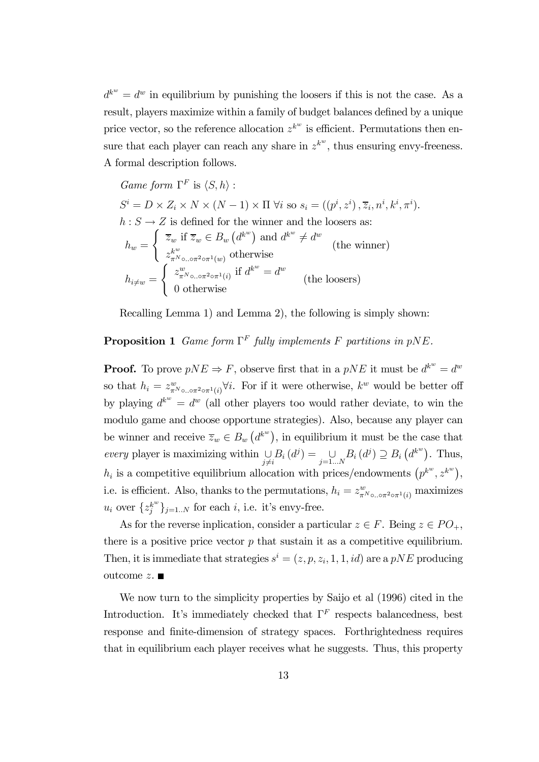$d^{k^w} = d^w$  in equilibrium by punishing the loosers if this is not the case. As a result, players maximize within a family of budget balances defined by a unique price vector, so the reference allocation  $z^{k^w}$  is efficient. Permutations then ensure that each player can reach any share in  $z^{k^w}$ , thus ensuring envy-freeness. A formal description follows.

$$
Game form \Gamma^F \text{ is } \langle S, h \rangle : \nS^i = D \times Z_i \times N \times (N - 1) \times \Pi \ \forall i \text{ so } s_i = ((p^i, z^i), \overline{z}_i, n^i, k^i, \pi^i).
$$
\n
$$
h : S \to Z \text{ is defined for the winner and the loosers as:}
$$
\n
$$
h_w = \begin{cases} \overline{z}_w \text{ if } \overline{z}_w \in B_w (d^{k^w}) \text{ and } d^{k^w} \neq d^w \\ z_{\pi^N \circ \ldots \circ \pi^2 \circ \pi^1(w)}^{k^w} \text{ otherwise} \end{cases} \text{ (the winner)}
$$
\n
$$
h_{i \neq w} = \begin{cases} z_{\pi^N \circ \ldots \circ \pi^2 \circ \pi^1(i)}^{w} \text{ if } d^{k^w} = d^w \\ 0 \text{ otherwise} \end{cases} \text{ (the loosers)}
$$

Recalling Lemma 1) and Lemma 2), the following is simply shown:

#### **Proposition 1** Game form  $\Gamma^F$  fully implements F partitions in pNE.

**Proof.** To prove  $pNE \Rightarrow F$ , observe first that in a  $pNE$  it must be  $d^{k^w} = d^w$ so that  $h_i = z_{\pi N_{\circ} \circ \sigma^2 \circ \pi^1(i)}^w \forall i$ . For if it were otherwise,  $k^w$  would be better off by playing  $d^{k^w} = d^w$  (all other players too would rather deviate, to win the modulo game and choose opportune strategies). Also, because any player can be winner and receive  $\overline{z}_w \in B_w(d^{k^w}),$  in equilibrium it must be the case that every player is maximizing within  $\bigcup_{j\neq i} B_i(d^j) = \bigcup_{j=1...N} B_i(d^j) \supseteq B_i(d^{k^w})$ . Thus,  $h_i$  is a competitive equilibrium allocation with prices/endowments  $(p^{k^w}, z^{k^w}),$ i.e. is efficient. Also, thanks to the permutations,  $h_i = z^w_{\pi N_{\text{o...}} \circ \pi^2 \circ \pi^1(i)}$  maximizes  $u_i$  over  $\{z_j^{k^w}\}_{j=1..N}$  for each *i*, i.e. it's envy-free.

As for the reverse inplication, consider a particular  $z \in F$ . Being  $z \in PO_+$ , there is a positive price vector  $p$  that sustain it as a competitive equilibrium. Then, it is immediate that strategies  $s^i = (z, p, z_i, 1, 1, id)$  are a pNE producing outcome  $z$ .

We now turn to the simplicity properties by Saijo et al  $(1996)$  cited in the Introduction. It's immediately checked that  $\Gamma^F$  respects balancedness, best response and finite-dimension of strategy spaces. Forthrightedness requires that in equilibrium each player receives what he suggests. Thus, this property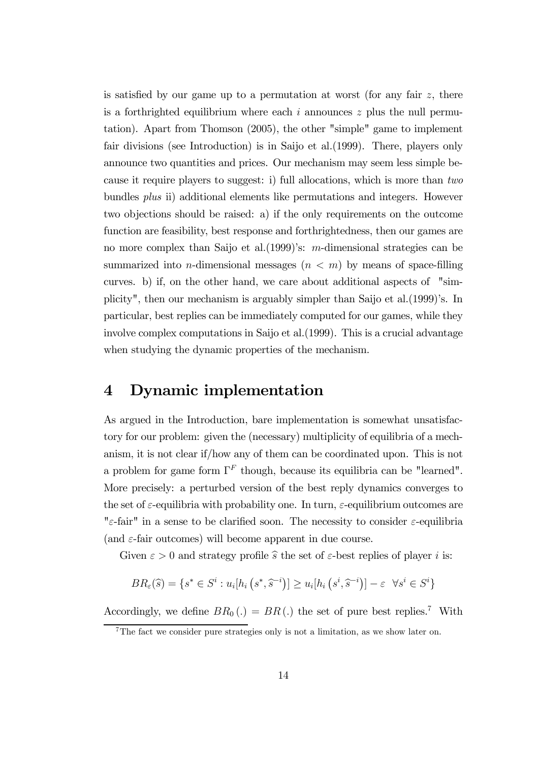is satisfied by our game up to a permutation at worst (for any fair  $z$ , there is a forthrighted equilibrium where each  $i$  announces  $z$  plus the null permutation). Apart from Thomson (2005), the other "simple" game to implement fair divisions (see Introduction) is in Saijo et al.(1999). There, players only announce two quantities and prices. Our mechanism may seem less simple because it require players to suggest: i) full allocations, which is more than two bundles plus ii) additional elements like permutations and integers. However two objections should be raised: a) if the only requirements on the outcome function are feasibility, best response and forthrightedness, then our games are no more complex than Saijo et al.(1999)'s: m-dimensional strategies can be summarized into *n*-dimensional messages  $(n < m)$  by means of space-filling curves. b) if, on the other hand, we care about additional aspects of "simplicity", then our mechanism is arguably simpler than Saijo et al.(1999)'s. In particular, best replies can be immediately computed for our games, while they involve complex computations in Saijo et al.(1999). This is a crucial advantage when studying the dynamic properties of the mechanism.

## 4 Dynamic implementation

As argued in the Introduction, bare implementation is somewhat unsatisfactory for our problem: given the (necessary) multiplicity of equilibria of a mechanism, it is not clear if/how any of them can be coordinated upon. This is not a problem for game form  $\Gamma^F$  though, because its equilibria can be "learned". More precisely: a perturbed version of the best reply dynamics converges to the set of  $\varepsilon$ -equilibria with probability one. In turn,  $\varepsilon$ -equilibrium outcomes are " $ε$ -fair" in a sense to be clarified soon. The necessity to consider  $ε$ -equilibria (and  $\varepsilon$ -fair outcomes) will become apparent in due course.

Given  $\varepsilon > 0$  and strategy profile  $\hat{s}$  the set of  $\varepsilon$ -best replies of player i is:

$$
BR_{\varepsilon}(\widehat{s}) = \{ s^* \in S^i : u_i[h_i\left(s^*, \widehat{s}^{-i}\right)] \ge u_i[h_i\left(s^i, \widehat{s}^{-i}\right)] - \varepsilon \ \ \forall s^i \in S^i \}
$$

Accordingly, we define  $BR_0(.) = BR(.)$  the set of pure best replies.<sup>7</sup> With

<sup>&</sup>lt;sup>7</sup>The fact we consider pure strategies only is not a limitation, as we show later on.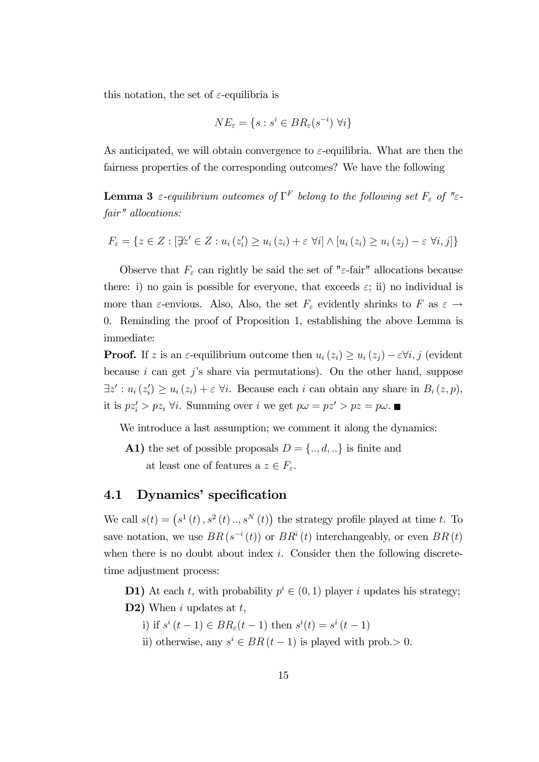this notation, the set of  $\varepsilon$ -equilibria is

$$
NE_{\varepsilon} = \{ s : s^i \in BR_{\varepsilon}(s^{-i}) \ \forall i \}
$$

As anticipated, we will obtain convergence to  $\varepsilon$ -equilibria. What are then the fairness properties of the corresponding outcomes? We have the following

**Lemma 3** ε-equilibrium outcomes of  $\Gamma^F$  belong to the following set  $F_{\varepsilon}$  of "εfair" allocations:

$$
F_{\varepsilon} = \{ z \in Z : [\nexists z' \in Z : u_i(z_i') \ge u_i(z_i) + \varepsilon \,\,\forall i] \land [u_i(z_i) \ge u_i(z_j) - \varepsilon \,\,\forall i, j] \}
$$

Observe that  $F_{\varepsilon}$  can rightly be said the set of " $\varepsilon$ -fair" allocations because there: i) no gain is possible for everyone, that exceeds  $\varepsilon$ ; ii) no individual is more than  $\varepsilon$ -envious. Also, Also, the set  $F_{\varepsilon}$  evidently shrinks to F as  $\varepsilon \to$ 0. Reminding the proof of Proposition 1, establishing the above Lemma is immediate:

**Proof.** If z is an  $\varepsilon$ -equilibrium outcome then  $u_i(z_i) \geq u_i(z_i) - \varepsilon \forall i, j$  (evident because i can get j's share via permutations). On the other hand, suppose  $\exists z': u_i(z'_i) \ge u_i(z_i) + \varepsilon \ \forall i.$  Because each i can obtain any share in  $B_i(z, p)$ , it is  $pz'_i > pz_i$   $\forall i$ . Summing over i we get  $p\omega = pz' > pz = p\omega$ .

We introduce a last assumption; we comment it along the dynamics:

A1) the set of possible proposals  $D = \{.., d, ...\}$  is finite and at least one of features a  $z \in F_\varepsilon.$ 

#### 4.1 Dynamics' specification

We call  $s(t) = (s^1(t), s^2(t), s^N(t))$  the strategy profile played at time t. To save notation, we use  $BR(s^{-i}(t))$  or  $BR^{i}(t)$  interchangeably, or even  $BR(t)$ when there is no doubt about index  $i$ . Consider then the following discretetime adjustment process:

D1) At each t, with probability  $p^{i} \in (0,1)$  player i updates his strategy; D2) When  $i$  updates at  $t$ ,

- i) if  $s^i(t-1)$  ∈  $BR_\varepsilon(t-1)$  then  $s^i(t) = s^i(t-1)$
- ii) otherwise, any  $s^i \in BR(t-1)$  is played with prob.> 0.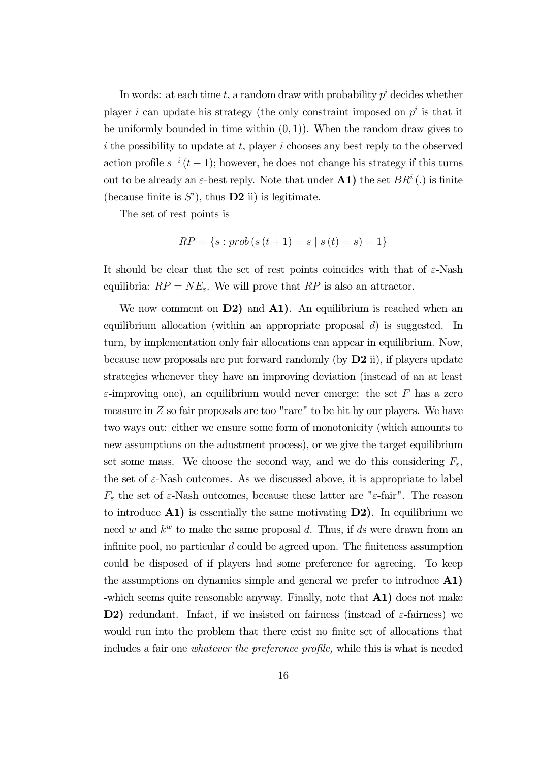In words: at each time t, a random draw with probability  $p^i$  decides whether player i can update his strategy (the only constraint imposed on  $p^i$  is that it be uniformly bounded in time within  $(0, 1)$ . When the random draw gives to i the possibility to update at t, player i chooses any best reply to the observed action profile  $s^{-i}$  (t − 1); however, he does not change his strategy if this turns out to be already an  $\varepsilon$ -best reply. Note that under **A1**) the set  $BR<sup>i</sup>$  (.) is finite (because finite is  $S^i$ ), thus **D2** ii) is legitimate.

The set of rest points is

$$
RP = \{s : prob(s(t + 1) = s \mid s(t) = s) = 1\}
$$

It should be clear that the set of rest points coincides with that of  $\varepsilon$ -Nash equilibria:  $RP = NE_{\varepsilon}$ . We will prove that RP is also an attractor.

We now comment on  $D2$ ) and  $A1$ ). An equilibrium is reached when an equilibrium allocation (within an appropriate proposal  $d$ ) is suggested. In turn, by implementation only fair allocations can appear in equilibrium. Now, because new proposals are put forward randomly (by  $D2$  ii), if players update strategies whenever they have an improving deviation (instead of an at least  $\varepsilon$ -improving one), an equilibrium would never emerge: the set F has a zero measure in Z so fair proposals are too "rare" to be hit by our players. We have two ways out: either we ensure some form of monotonicity (which amounts to new assumptions on the adustment process), or we give the target equilibrium set some mass. We choose the second way, and we do this considering  $F_{\varepsilon}$ , the set of  $\varepsilon$ -Nash outcomes. As we discussed above, it is appropriate to label  $F_{\varepsilon}$  the set of  $\varepsilon$ -Nash outcomes, because these latter are " $\varepsilon$ -fair". The reason to introduce  $\mathbf{A1}$ ) is essentially the same motivating  $\mathbf{D2}$ ). In equilibrium we need w and  $k^w$  to make the same proposal d. Thus, if ds were drawn from an infinite pool, no particular  $d$  could be agreed upon. The finiteness assumption could be disposed of if players had some preference for agreeing. To keep the assumptions on dynamics simple and general we prefer to introduce A1) -which seems quite reasonable anyway. Finally, note that A1) does not make **D2**) redundant. Infact, if we insisted on fairness (instead of  $\varepsilon$ -fairness) we would run into the problem that there exist no finite set of allocations that includes a fair one whatever the preference profile, while this is what is needed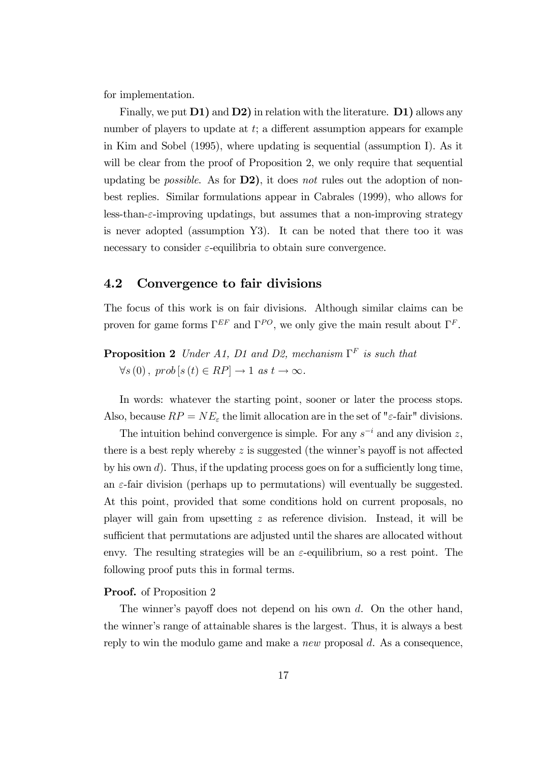for implementation.

Finally, we put **D1**) and **D2**) in relation with the literature. **D1**) allows any number of players to update at t; a different assumption appears for example in Kim and Sobel (1995), where updating is sequential (assumption I). As it will be clear from the proof of Proposition 2, we only require that sequential updating be *possible.* As for  $D2$ , it does not rules out the adoption of nonbest replies. Similar formulations appear in Cabrales (1999), who allows for less-than-ε-improving updatings, but assumes that a non-improving strategy is never adopted (assumption Y3). It can be noted that there too it was necessary to consider  $\varepsilon$ -equilibria to obtain sure convergence.

#### 4.2 Convergence to fair divisions

The focus of this work is on fair divisions. Although similar claims can be proven for game forms  $\Gamma^{EF}$  and  $\Gamma^{PO}$ , we only give the main result about  $\Gamma^F$ .

**Proposition 2** Under A1, D1 and D2, mechanism  $\Gamma^F$  is such that  $\forall s(0), \text{ prob}(s(t) \in RP] \rightarrow 1 \text{ as } t \rightarrow \infty.$ 

In words: whatever the starting point, sooner or later the process stops. Also, because  $RP = NE_{\varepsilon}$  the limit allocation are in the set of " $\varepsilon$ -fair" divisions.

The intuition behind convergence is simple. For any  $s^{-i}$  and any division z, there is a best reply whereby  $z$  is suggested (the winner's payoff is not affected by his own  $d$ ). Thus, if the updating process goes on for a sufficiently long time, an  $\varepsilon$ -fair division (perhaps up to permutations) will eventually be suggested. At this point, provided that some conditions hold on current proposals, no player will gain from upsetting z as reference division. Instead, it will be sufficient that permutations are adjusted until the shares are allocated without envy. The resulting strategies will be an  $\varepsilon$ -equilibrium, so a rest point. The following proof puts this in formal terms.

#### **Proof.** of Proposition 2

The winner's payoff does not depend on his own  $d$ . On the other hand, the winner's range of attainable shares is the largest. Thus, it is always a best reply to win the modulo game and make a *new* proposal  $d$ . As a consequence,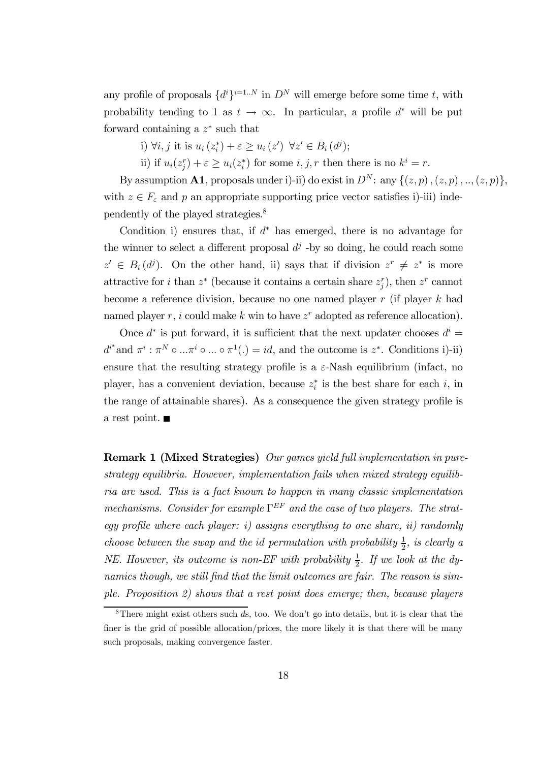any profile of proposals  $\{d^i\}^{i=1..N}$  in  $D^N$  will emerge before some time t, with probability tending to 1 as  $t \to \infty$ . In particular, a profile  $d^*$  will be put forward containing a  $z^*$  such that

i)  $\forall i, j$  it is  $u_i(z_i^*) + \varepsilon \ge u_i(z') \ \forall z' \in B_i(d^j);$ 

ii) if  $u_i(z_j^r) + \varepsilon \ge u_i(z_i^*)$  for some  $i, j, r$  then there is no  $k^i = r$ .

By assumption **A1**, proposals under i)-ii) do exist in  $D^N$ : any  $\{(z, p), (z, p), ..., (z, p)\},$ with  $z \in F_{\varepsilon}$  and p an appropriate supporting price vector satisfies i)-iii) independently of the played strategies.8

Condition i) ensures that, if  $d^*$  has emerged, there is no advantage for the winner to select a different proposal  $d<sup>j</sup>$  -by so doing, he could reach some  $z' \in B_i (d^j)$ . On the other hand, ii) says that if division  $z^r \neq z^*$  is more attractive for *i* than  $z^*$  (because it contains a certain share  $z_j^r$ ), then  $z^r$  cannot become a reference division, because no one named player r (if player k had named player r, i could make k win to have  $z^r$  adopted as reference allocation).

Once  $d^*$  is put forward, it is sufficient that the next updater chooses  $d^i =$  $d^{i^*}$  and  $\pi^i : \pi^N \circ ... \pi^i \circ ... \circ \pi^1(.) = id$ , and the outcome is  $z^*$ . Conditions i)-ii) ensure that the resulting strategy profile is a  $\varepsilon$ -Nash equilibrium (infact, no player, has a convenient deviation, because  $z_i^*$  is the best share for each i, in the range of attainable shares). As a consequence the given strategy profile is a rest point.

Remark 1 (Mixed Strategies) Our games yield full implementation in purestrategy equilibria. However, implementation fails when mixed strategy equilibria are used. This is a fact known to happen in many classic implementation mechanisms. Consider for example  $\Gamma^{EF}$  and the case of two players. The strategy profile where each player: i) assigns everything to one share, ii) randomly choose between the swap and the id permutation with probability  $\frac{1}{2}$ , is clearly a NE. However, its outcome is non-EF with probability  $\frac{1}{2}$ . If we look at the dynamics though, we still find that the limit outcomes are fair. The reason is simple. Proposition 2) shows that a rest point does emerge; then, because players

<sup>&</sup>lt;sup>8</sup>There might exist others such  $\overline{ds}$ , too. We don't go into details, but it is clear that the finer is the grid of possible allocation/prices, the more likely it is that there will be many such proposals, making convergence faster.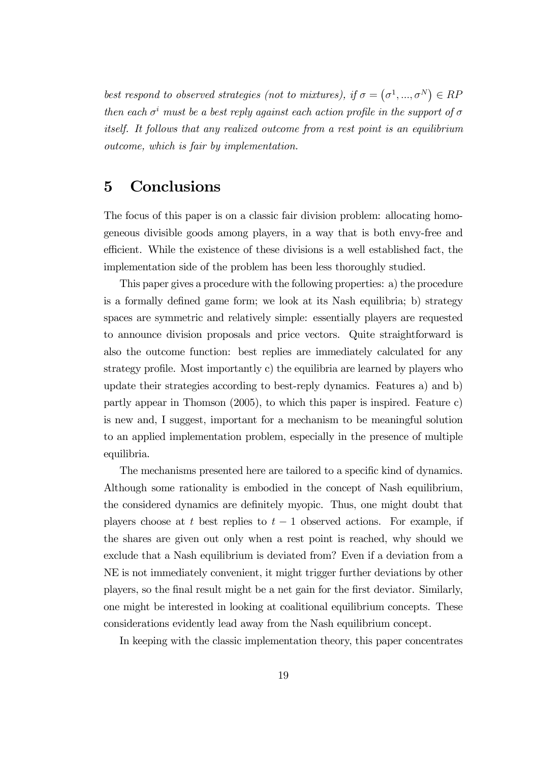best respond to observed strategies (not to mixtures), if  $\sigma = (\sigma^1, ..., \sigma^N) \in RF$ then each  $\sigma^i$  must be a best reply against each action profile in the support of  $\sigma$ itself. It follows that any realized outcome from a rest point is an equilibrium outcome, which is fair by implementation.

## 5 Conclusions

The focus of this paper is on a classic fair division problem: allocating homogeneous divisible goods among players, in a way that is both envy-free and efficient. While the existence of these divisions is a well established fact, the implementation side of the problem has been less thoroughly studied.

This paper gives a procedure with the following properties: a) the procedure is a formally defined game form; we look at its Nash equilibria; b) strategy spaces are symmetric and relatively simple: essentially players are requested to announce division proposals and price vectors. Quite straightforward is also the outcome function: best replies are immediately calculated for any strategy profile. Most importantly c) the equilibria are learned by players who update their strategies according to best-reply dynamics. Features a) and b) partly appear in Thomson (2005), to which this paper is inspired. Feature c) is new and, I suggest, important for a mechanism to be meaningful solution to an applied implementation problem, especially in the presence of multiple equilibria.

The mechanisms presented here are tailored to a specific kind of dynamics. Although some rationality is embodied in the concept of Nash equilibrium, the considered dynamics are definitely myopic. Thus, one might doubt that players choose at t best replies to  $t - 1$  observed actions. For example, if the shares are given out only when a rest point is reached, why should we exclude that a Nash equilibrium is deviated from? Even if a deviation from a NE is not immediately convenient, it might trigger further deviations by other players, so the final result might be a net gain for the first deviator. Similarly, one might be interested in looking at coalitional equilibrium concepts. These considerations evidently lead away from the Nash equilibrium concept.

In keeping with the classic implementation theory, this paper concentrates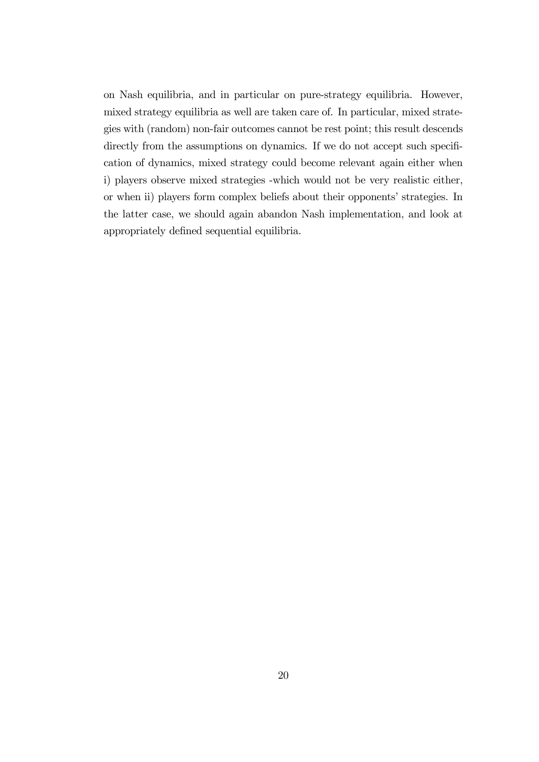on Nash equilibria, and in particular on pure-strategy equilibria. However, mixed strategy equilibria as well are taken care of. In particular, mixed strategies with (random) non-fair outcomes cannot be rest point; this result descends directly from the assumptions on dynamics. If we do not accept such specification of dynamics, mixed strategy could become relevant again either when i) players observe mixed strategies -which would not be very realistic either, or when ii) players form complex beliefs about their opponents' strategies. In the latter case, we should again abandon Nash implementation, and look at appropriately defined sequential equilibria.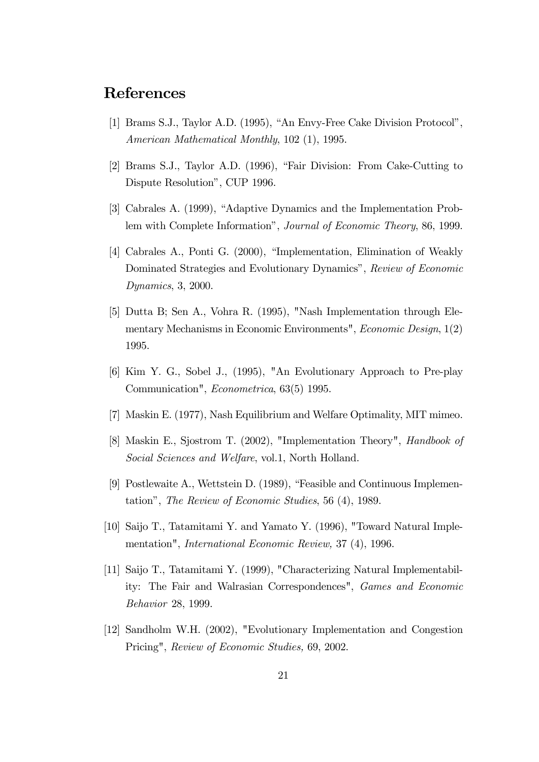## References

- [1] Brams S.J., Taylor A.D. (1995), "An Envy-Free Cake Division Protocol", American Mathematical Monthly, 102 (1), 1995.
- [2] Brams S.J., Taylor A.D. (1996), "Fair Division: From Cake-Cutting to Dispute Resolution", CUP 1996.
- [3] Cabrales A. (1999), "Adaptive Dynamics and the Implementation Problem with Complete Information", Journal of Economic Theory, 86, 1999.
- [4] Cabrales A., Ponti G. (2000), "Implementation, Elimination of Weakly Dominated Strategies and Evolutionary Dynamics", Review of Economic Dynamics, 3, 2000.
- [5] Dutta B; Sen A., Vohra R. (1995), "Nash Implementation through Elementary Mechanisms in Economic Environments", Economic Design, 1(2) 1995.
- [6] Kim Y. G., Sobel J., (1995), "An Evolutionary Approach to Pre-play Communication", Econometrica, 63(5) 1995.
- [7] Maskin E. (1977), Nash Equilibrium and Welfare Optimality, MIT mimeo.
- [8] Maskin E., Sjostrom T. (2002), "Implementation Theory", Handbook of Social Sciences and Welfare, vol.1, North Holland.
- [9] Postlewaite A., Wettstein D. (1989), "Feasible and Continuous Implementation", The Review of Economic Studies, 56 (4), 1989.
- [10] Saijo T., Tatamitami Y. and Yamato Y. (1996), "Toward Natural Implementation", International Economic Review, 37 (4), 1996.
- [11] Saijo T., Tatamitami Y. (1999), "Characterizing Natural Implementability: The Fair and Walrasian Correspondences", Games and Economic Behavior 28, 1999.
- [12] Sandholm W.H. (2002), "Evolutionary Implementation and Congestion Pricing", Review of Economic Studies, 69, 2002.